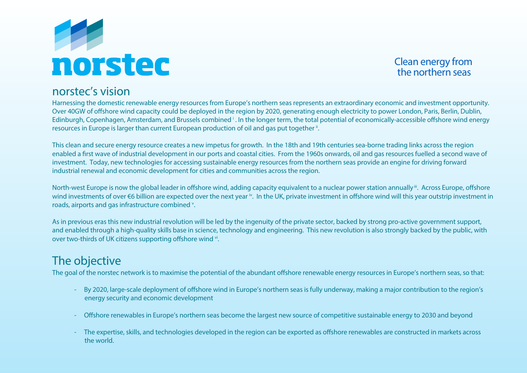

Clean energy from the northern seas

### norstec's vision

Harnessing the domestic renewable energy resources from Europe's northern seas represents an extraordinary economic and investment opportunity. Over 40GW of offshore wind capacity could be deployed in the region by 2020, generating enough electricity to power London, Paris, Berlin, Dublin, Edinburgh, Copenhagen, Amsterdam, and Brussels combined *i* . In the longer term, the total potential of economically-accessible offshore wind energy resources in Europe is larger than current European production of oil and gas put together ".

This clean and secure energy resource creates a new impetus for growth. In the 18th and 19th centuries sea-borne trading links across the region enabled a first wave of industrial development in our ports and coastal cities. From the 1960s onwards, oil and gas resources fuelled a second wave of investment. Today, new technologies for accessing sustainable energy resources from the northern seas provide an engine for driving forward industrial renewal and economic development for cities and communities across the region.

North-west Europe is now the global leader in offshore wind, adding capacity equivalent to a nuclear power station annually". Across Europe, offshore wind investments of over €6 billion are expected over the next year  $\dot{v}$ . In the UK, private investment in offshore wind will this year outstrip investment in roads, airports and gas infrastructure combined v.

As in previous eras this new industrial revolution will be led by the ingenuity of the private sector, backed by strong pro-active government support, and enabled through a high-quality skills base in science, technology and engineering. This new revolution is also strongly backed by the public, with over two-thirds of UK citizens supporting offshore wind vi.

# The objective

The goal of the norstec network is to maximise the potential of the abundant offshore renewable energy resources in Europe's northern seas, so that:

- By 2020, large-scale deployment of offshore wind in Europe's northern seas is fully underway, making a major contribution to the region's energy security and economic development
- Offshore renewables in Europe's northern seas become the largest new source of competitive sustainable energy to 2030 and beyond
- The expertise, skills, and technologies developed in the region can be exported as offshore renewables are constructed in markets across the world.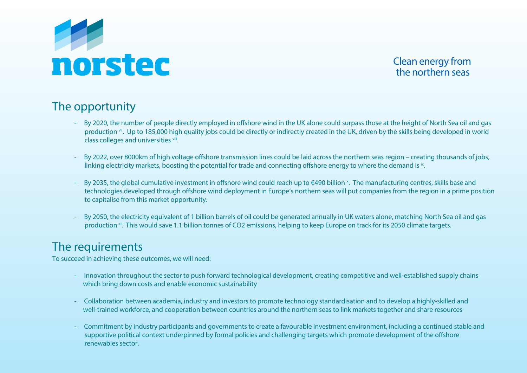

Clean energy from the northern seas

## The opportunity

- By 2020, the number of people directly employed in offshore wind in the UK alone could surpass those at the height of North Sea oil and gas production vii. Up to 185,000 high quality jobs could be directly or indirectly created in the UK, driven by the skills being developed in world class colleges and universities viii.
- By 2022, over 8000km of high voltage offshore transmission lines could be laid across the northern seas region creating thousands of jobs, linking electricity markets, boosting the potential for trade and connecting offshore energy to where the demand is  $\cdot$
- By 2035, the global cumulative investment in offshore wind could reach up to €490 billion <sup>x</sup>. The manufacturing centres, skills base and technologies developed through offshore wind deployment in Europe's northern seas will put companies from the region in a prime position to capitalise from this market opportunity.
	- By 2050, the electricity equivalent of 1 billion barrels of oil could be generated annually in UK waters alone, matching North Sea oil and gas production xi. This would save 1.1 billion tonnes of CO2 emissions, helping to keep Europe on track for its 2050 climate targets.

### The requirements

To succeed in achieving these outcomes, we will need:

- Innovation throughout the sector to push forward technological development, creating competitive and well-established supply chains which bring down costs and enable economic sustainability
- Collaboration between academia, industry and investors to promote technology standardisation and to develop a highly-skilled and well-trained workforce, and cooperation between countries around the northern seas to link markets together and share resources
- Commitment by industry participants and governments to create a favourable investment environment, including a continued stable and supportive political context underpinned by formal policies and challenging targets which promote development of the offshore renewables sector.